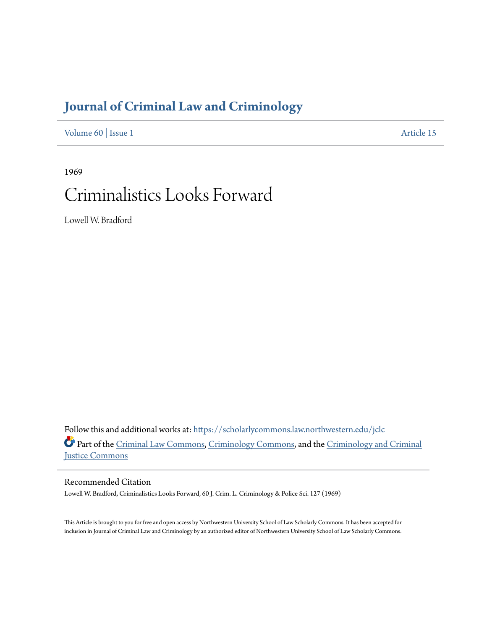## **[Journal of Criminal Law and Criminology](https://scholarlycommons.law.northwestern.edu/jclc?utm_source=scholarlycommons.law.northwestern.edu%2Fjclc%2Fvol60%2Fiss1%2F15&utm_medium=PDF&utm_campaign=PDFCoverPages)**

[Volume 60](https://scholarlycommons.law.northwestern.edu/jclc/vol60?utm_source=scholarlycommons.law.northwestern.edu%2Fjclc%2Fvol60%2Fiss1%2F15&utm_medium=PDF&utm_campaign=PDFCoverPages) | [Issue 1](https://scholarlycommons.law.northwestern.edu/jclc/vol60/iss1?utm_source=scholarlycommons.law.northwestern.edu%2Fjclc%2Fvol60%2Fiss1%2F15&utm_medium=PDF&utm_campaign=PDFCoverPages) [Article 15](https://scholarlycommons.law.northwestern.edu/jclc/vol60/iss1/15?utm_source=scholarlycommons.law.northwestern.edu%2Fjclc%2Fvol60%2Fiss1%2F15&utm_medium=PDF&utm_campaign=PDFCoverPages)

1969

## Criminalistics Looks Forward

Lowell W. Bradford

Follow this and additional works at: [https://scholarlycommons.law.northwestern.edu/jclc](https://scholarlycommons.law.northwestern.edu/jclc?utm_source=scholarlycommons.law.northwestern.edu%2Fjclc%2Fvol60%2Fiss1%2F15&utm_medium=PDF&utm_campaign=PDFCoverPages) Part of the [Criminal Law Commons](http://network.bepress.com/hgg/discipline/912?utm_source=scholarlycommons.law.northwestern.edu%2Fjclc%2Fvol60%2Fiss1%2F15&utm_medium=PDF&utm_campaign=PDFCoverPages), [Criminology Commons](http://network.bepress.com/hgg/discipline/417?utm_source=scholarlycommons.law.northwestern.edu%2Fjclc%2Fvol60%2Fiss1%2F15&utm_medium=PDF&utm_campaign=PDFCoverPages), and the [Criminology and Criminal](http://network.bepress.com/hgg/discipline/367?utm_source=scholarlycommons.law.northwestern.edu%2Fjclc%2Fvol60%2Fiss1%2F15&utm_medium=PDF&utm_campaign=PDFCoverPages) [Justice Commons](http://network.bepress.com/hgg/discipline/367?utm_source=scholarlycommons.law.northwestern.edu%2Fjclc%2Fvol60%2Fiss1%2F15&utm_medium=PDF&utm_campaign=PDFCoverPages)

Recommended Citation

Lowell W. Bradford, Criminalistics Looks Forward, 60 J. Crim. L. Criminology & Police Sci. 127 (1969)

This Article is brought to you for free and open access by Northwestern University School of Law Scholarly Commons. It has been accepted for inclusion in Journal of Criminal Law and Criminology by an authorized editor of Northwestern University School of Law Scholarly Commons.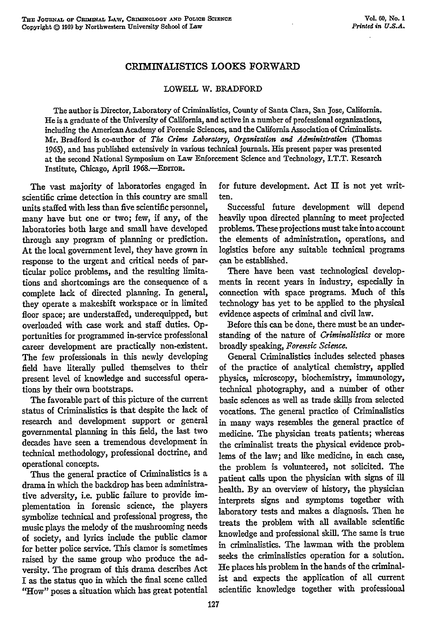## CRIMINALISTICS LOOKS FORWARD

## LOWELL W. BRADFORD

The author is Director, Laboratory of Criminalistics, County of Santa Clara, San Jose, California. He is a graduate of the University of California, and active in a number of professional organizations, including the American Academy of Forensic Sciences, and the California **Association of Criminalists.** Mr. Bradford is **co-author of** *The Crime Laboratory, Organization and Administration* (Thomas **1965),** and has published extensively in **various** technical journals. **His** present paper was presented **at** the second National Symposium on Law Enforcement Science and Technology, I.T.T. Research Institute, Chicago, April 1968.-EDITOR.

The vast majority of laboratories engaged in scientific crime detection in this country are small units staffed with less than five scientific personnel, many have but one or two; few, **if** any, of the laboratories both large and small have developed through any program of planning or prediction. At the local government level, they have grown in response to the urgent and critical needs of particular police problems, and the resulting limitations and shortcomings are the consequence of a complete lack of directed planning. In general, they operate a makeshift workspace or in limited floor space; are understaffed, underequipped, but overloaded with case work and staff duties. Opportunities for programmed in-service professional career development are practically non-existent. The few professionals in this newly developing field have literally pulled themselves to their present level of knowledge and successful operations by their own bootstraps.

The favorable part of this picture of the current status of Criminalistics is that despite the lack of research and development support or general governmental planning in this field, the last two decades have seen a tremendous development in technical methodology, professional doctrine, and operational concepts.

Thus the general practice of Criminalistics is a drama in which the backdrop has been administrative adversity, i.e. public failure to provide implementation in forensic science, the players symbolize technical and professional progress, the music plays the melody of the mushrooming needs of society, and lyrics include the public clamor for better police service. This clamor is sometimes raised by the same group who produce the adversity. The program of this drama describes Act I as the status quo in which the final scene called "How" poses a situation which has great potential for future development. Act **II** is not yet written.

Successful future development will depend heavily upon directed planning to meet projected problems. These projections must take into account the elements of administration, operations, and logistics before any suitable technical programs can be established.

There have been vast technological developments in recent years in industry, especially in connection with space programs. Much of this technology has yet to be applied to the physical evidence aspects of criminal and civil law.

Before this can be done, there must be an understanding of the nature of *Criminalistics* or more broadly speaking, *Forensic Science.*

General Criminalistics includes selected phases of the practice of analytical chemistry, applied physics, microscopy, biochemistry, immunology, technical photography, and a number of other basic sciences as well as trade skills from selected vocations. The general practice of Criminalistics in many ways resembles the general practice of medicine. The physician treats patients; whereas the criminalist treats the physical evidence problems of the law; and like medicine, in each case, the problem is volunteered, not solicited. The patient calls upon the physician with signs of ill health. **By** an overview of history, the physician interprets signs and symptoms together with laboratory tests and makes a diagnosis. Then he treats the problem with all available scientific knowledge and professional skill. The same is true in criminalistics. The lawman with the problem seeks the criminalistics operation for a solution. He places his problem in the hands of the criminalist and expects the application of all current scientific knowledge together with professional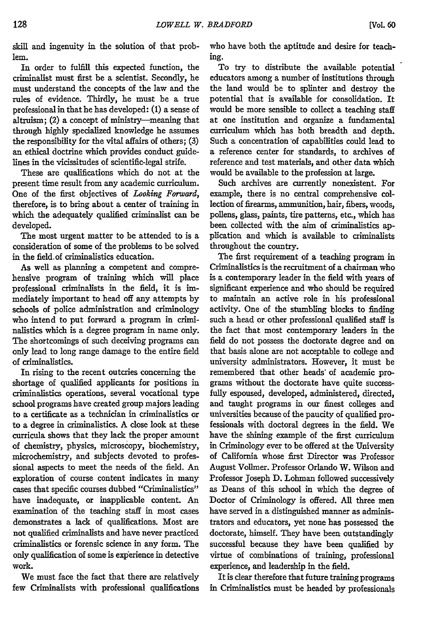skill and ingenuity in the solution of that problem.

In order to fulfill this expected function, the criminalist must first be a scientist. Secondly, he must understand the concepts of the law and the rules of evidence. Thirdly, he must be a true professional in that he has developed: (1) a sense of altruism; (2) a concept of ministry-meaning that through highly specialized knowledge he assumes the responsibility for the vital affairs of others; (3) an ethical doctrine which provides conduct guidelines in the vicissitudes of scientific-legal strife.

These are qualifications which do not at the present time result from any academic curriculum. One of the first objectives of *Looking Forward,* therefore, is to bring about a center of training in which the adequately qualified criminalist can be developed.

The most urgent matter to be attended to is a consideration of some of the problems to be solved in the field.of criminalistics education.

As well as planning a competent and comprehensive program of training which will place professional criminalists in the field, it is immediately important to head off any attempts **by** schools of police administration and criminology who intend to put forward a program in criminalistics which is a degree program in name only. The shortcomings of such deceiving programs can only lead to long range damage to the entire field of criminalistics.

In rising to the recent outcries concerning the shortage of qualified applicants for positions in criminalistics operations, several vocational type school programs have created group majors leading to a certificate as a technician in criminalistics or to a degree in criminalistics. **A** dose look at these curricula shows that they lack the proper amount of chemistry, physics, microscopy, biochemistry, microchemistry, and subjects devoted to professional aspects to meet the needs of the field. An exploration of course content indicates in many cases that specific courses dubbed "Criminalistics" have inadequate, or inapplicable content. An examination of the teaching staff in most cases demonstrates a lack of qualifications. Most are not qualified criminalists and have never practiced criminalistics or forensic science in any form. The only qualification of some is experience in detective work.

We must face the fact that there are relatively few Criminalists with professional qualifications

who have both the aptitude and desire for teaching.

To try to distribute the available potential educators among a number of institutions through the land would be to splinter and destroy the potential that is available for consolidation. It would be more sensible to collect a teaching staff at one institution and organize a fundamental curriculum which has both breadth and depth. Such a concentration 'of capabilities could lead to a reference center for standards, to archives of reference and test materials, and other data which would be available to the profession at large.

Such archives are currently nonexistent. For example, there is no central comprehensive collection of firearms, ammunition, hair, fibers, woods, pollens, glass, paints, tire patterns, etc., which has been collected with the aim of criminalistics application and which is available to criminalists throughout the country.

The first requirement of a teaching program in Criminalistics is the recruitment of a chairman who is a contemporary leader in the field with years of significant experience and who should be required to maintain an active role in his professional activity. One of the stumbling blocks to finding such a head or other professional qualified staff is the fact that most contemporary leaders in the field do not possess the doctorate degree and on that basis alone are not acceptable to college and university administrators. However, it must be remembered that other heads' of academic programs without the doctorate have quite successfully espoused, developed, administered, directed, and taught programs in our finest colleges and universities because of the paucity of qualified professionals with doctoral degrees in the field. We have the shining example of the first curriculum in Criminology ever to be offered at the University of California whose first Director was Professor August Volmer. Professor Orlando W. Wilson and Professor Joseph D. Lohman followed successively as Deans of this school in which the degree of Doctor of Criminology is offered. All three men have served in a distinguished manner as administrators and educators, yet none has possessed the doctorate, himself. They have been outstandingly successful because they have been qualified **by** virtue of combinations of training, professional experience, and leadership in the field.

It is clear therefore that future training programs in Criminalistics must be headed by professionals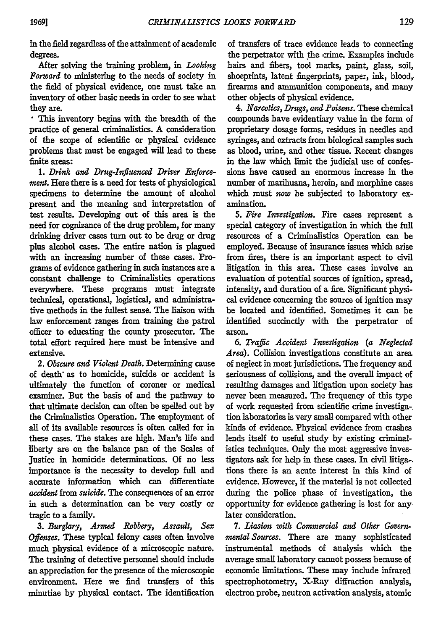in the field regardless of the attainment of academic degrees.

After solving the training problem, in *Looking Forward* to ministering to the needs of society in the field of physical evidence, one must take an inventory of other basic needs in order to see what they are.

**-** This inventory begins with the breadth of the practice of general criminalistics. A consideration of the scope of scientific or physical evidence problems that must be engaged will lead to these finite areas:

*1. Drink and Drug-Influenced Driver Enforcement.* Here there is a need for tests of physiological specimens to determine the amount of alcohol present and the meaning and interpretation of test results. Developing out of this area is the need for cognizance of the drug problem, for many drinking driver cases turn out to be drug or drug plus alcohol cases. The entire nation is plagued with an increasing number of these cases. Programs of evidence gathering in such instances are a constant challenge to Criminalistics operations everywhere. These programs must integrate technical, operational, logistical, and administrative methods in the fullest sense. The liaison with law enforcement ranges from training the patrol officer to educating the county prosecutor. The total effort required here must be intensive and extensive.

*2. Obscure and Violent Death.* Determining cause of death as to homicide, suicide or accident is ultimately the function of coroner or medical examiner. But the basis of and the pathway to that ultimate decision can often be spelled out **by** the Criminalistics Operation. The employment of all of its available resources is often called for in these cases. The stakes are high. Man's life and liberty are on the balance pan of the Scales of Justice in homicide determinations. Of no less importance is the necessity to develop full and accurate information which can differentiate *accident* from *suicide.* The consequences of an error in such a determination can be very costly or tragic to a family.

*3. Burglary, Armed Robbery, Assault, Sex Offenses.* These typical felony cases often involve much physical evidence of a microscopic nature. The training of detective personnel should include an appreciation for the presence of the microscopic environment. Here we find transfers of this minutiae by physical contact. The identification

of transfers of trace evidence leads to connecting the perpetrator with the crime. Examples include hairs and fibers, tool marks, paint, glass, soil, shoeprints, latent fingerprints, paper, ink, blood, firearms and ammunition components, and many other objects of physical evidence.

*4. Narcotics, Drugs, and Poisons. These* chemical compounds have evidentiary value in the form of proprietary dosage forms, residues in needles and syringes, and extracts from biological samples such as blood, urine, and other tissue. Recent changes in the law which limit the judicial use of confessions have caused an enormous increase in the number of marihuana, heroin, and morphine cases which must *now* be subjected to laboratory examination.

*5. Fire Investigation.* 'Fire cases represent a special category of investigation in which the full resources of a Criminalistics Operation can be employed. Because of insurance issues which arise from fires, there is an important aspect to civil litigation in this area. These cases involve an evaluation of potential sources of ignition, spread, intensity, and duration of a fire. Significant physical evidence concerning the source of ignition may be located and identified. Sometimes it can be identified succinctly with the perpetrator of arson.

*6. Traffic Accident Investigation (a Neglected Area).* Collision investigations constitute an area of neglect in most jurisdictions. The frequency and seriousness of collisions, and the overall impact of resulting damages and litigation upon society has never been measured. The frequency of this type of work requested from scientific crime investiga-, tion laboratories is very small compared with other kinds of evidence. Physical evidence from crashes lends itself to useful study by existing criminalistics techniques. Only the most aggressive investigators ask for help in these cases. In civil litiga-. tions there is an acute interest in this kind of evidence. However, if the material is not collected during the police phase of investigation, the opportunity for evidence gathering is lost for any later consideration.

*7. Liasion with Commercial and Other Govern- -mental Sources.* There are many sophisticated instrumental methods of analysis which the average small laboratory cannot possess because of economic limitations. These may include infrared spectrophotometry, X-Ray diffraction analysis, electron probe, neutron activation analysis, atomic